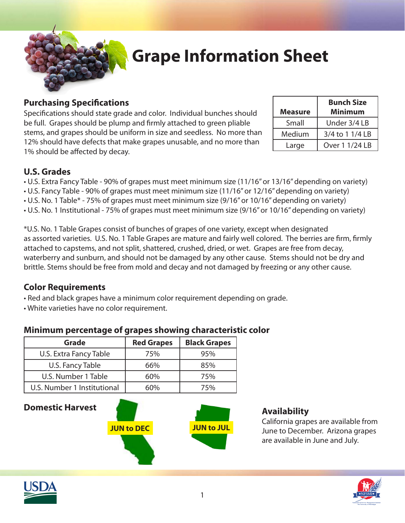

# **Grape Information Sheet**

### **Purchasing Specifications**

Specifications should state grade and color. Individual bunches should be full. Grapes should be plump and firmly attached to green pliable stems, and grapes should be uniform in size and seedless. No more than 12% should have defects that make grapes unusable, and no more than 1% should be affected by decay.

| <b>Measure</b> | <b>Bunch Size</b><br><b>Minimum</b> |  |
|----------------|-------------------------------------|--|
|                |                                     |  |
| Small          | Under 3/4 LB                        |  |
| Medium         | 3/4 to 1 1/4 LB                     |  |
| Large          | Over 1 1/24 LB                      |  |

## **U.S. Grades**

• U.S. Extra Fancy Table - 90% of grapes must meet minimum size (11/16" or 13/16" depending on variety) • U.S. Fancy Table - 90% of grapes must meet minimum size (11/16" or 12/16" depending on variety) • U.S. No. 1 Table\* - 75% of grapes must meet minimum size (9/16" or 10/16" depending on variety) • U.S. No. 1 Institutional - 75% of grapes must meet minimum size (9/16" or 10/16" depending on variety)

\*U.S. No. 1 Table Grapes consist of bunches of grapes of one variety, except when designated as assorted varieties. U.S. No. 1 Table Grapes are mature and fairly well colored. The berries are firm, firmly attached to capstems, and not split, shattered, crushed, dried, or wet. Grapes are free from decay, waterberry and sunburn, and should not be damaged by any other cause. Stems should not be dry and brittle. Stems should be free from mold and decay and not damaged by freezing or any other cause.

### **Color Requirements**

• Red and black grapes have a minimum color requirement depending on grade.

• White varieties have no color requirement.

### **Minimum percentage of grapes showing characteristic color**

| <b>Grade</b>                | <b>Red Grapes</b> | <b>Black Grapes</b> |
|-----------------------------|-------------------|---------------------|
| U.S. Extra Fancy Table      | 75%               | 95%                 |
| U.S. Fancy Table            | 66%               | 85%                 |
| U.S. Number 1 Table         | 60%               | 75%                 |
| U.S. Number 1 Institutional | 60%               | 75%                 |

## **Domestic Harvest**



# **Availability**

California grapes are available from June to December. Arizona grapes are available in June and July.